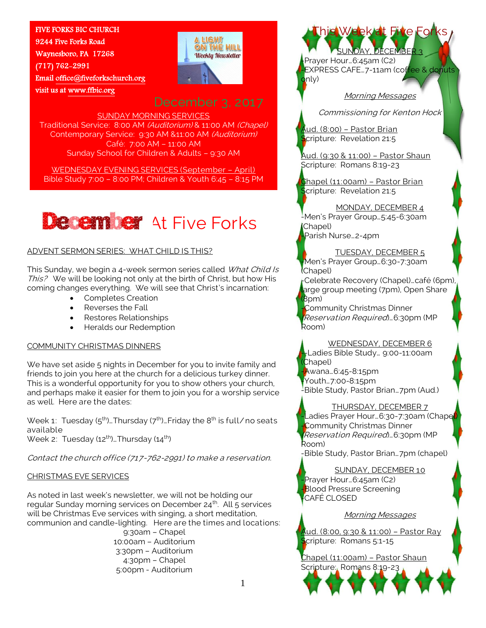## FIVE FORKS BIC CHURCH

9244 Five Forks Road Waynesboro, PA 17268 (717) 762-2991 Email [office@fiveforkschurch.org](mailto:office@fiveforkschurch.org)  visit us a[t www.ffbic.org](http://www.ffbic.org/) 



SUNDAY MORNING SERVICES Traditional Service: 8:00 AM (Auditorium) & 11:00 AM (Chapel) Contemporary Service: 9:30 AM &11:00 AM (Auditorium) Café: 7:00 AM – 11:00 AM Sunday School for Children & Adults – 9:30 AM

WEDNESDAY EVENING SERVICES (September – April) Bible Study 7:00 – 8:00 PM; Children & Youth 6:45 – 8:15 PM



## ADVENT SERMON SERIES: WHAT CHILD IS THIS?

This Sunday, we begin a 4-week sermon series called What Child Is This? We will be looking not only at the birth of Christ, but how His coming changes everything. We will see that Christ's incarnation:

- Completes Creation
- Reverses the Fall
- Restores Relationships
- Heralds our Redemption

## COMMUNITY CHRISTMAS DINNERS

We have set aside 5 nights in December for you to invite family and friends to join you here at the church for a delicious turkey dinner. This is a wonderful opportunity for you to show others your church, and perhaps make it easier for them to join you for a worship service as well. Here are the dates:

Week 1: Tuesday  $(5<sup>th</sup>)$ . Thursday  $(7<sup>th</sup>)$ . Friday the  $8<sup>th</sup>$  is full/no seats available Week 2: Tuesday (12<sup>th</sup>)...Thursday (14<sup>th</sup>)

Contact the church office (717-762-2991) to make a reservation.

## CHRISTMAS EVE SERVICES

As noted in last week's newsletter, we will not be holding our regular Sunday morning services on December  $24<sup>th</sup>$ . All 5 services will be Christmas Eve services with singing, a short meditation, communion and candle-lighting. Here are the times and locations:

> 9:30am – Chapel 10:00am – Auditorium 3:30pm – Auditorium 4:30pm – Chapel 5:00pm - Auditorium

Prayer Hour...6:45am (C2) EXPRESS CAFE...7-11am (coffee & donuts  $\mathsf{onlv}$ 

Week at Five For

SUNDAY, DECEMBER 3

Morning Messages

Commissioning for Kenton Hock

Aud. (8:00) – Pastor Brian Scripture: Revelation 21:5

Aud. (9:30 & 11:00) – Pastor Shaun Scripture: Romans 8:19-23

Chapel (11:00am) – Pastor Brian Scripture: Revelation 21:5

## MONDAY, DECEMBER 4

-Men's Prayer Group…5:45-6:30am (Chapel)

Parish Nurse...2-4pm

TUESDAY, DECEMBER 5 -Men's Prayer Group…6:30-7:30am (Chapel)

-Celebrate Recovery (Chapel)…café (6pm), arge group meeting (7pm), Open Share  $(8<sub>pm</sub>)$ 

-Community Christmas Dinner (Reservation Required)…6:30pm (MP Room)

## WEDNESDAY, DECEMBER 6

-Ladies Bible Study... 9:00-11:00am (Chapel) -Awana…6:45-8:15pm -Youth…7:00-8:15pm

-Bible Study, Pastor Brian…7pm (Aud.)

## THURSDAY, DECEMBER 7

-Ladies Prayer Hour…6:30-7:30am (Chapel) -Community Christmas Dinner (Reservation Required)…6:30pm (MP Room)

-Bible Study, Pastor Brian…7pm (chapel)

SUNDAY, DECEMBER 10 -Prayer Hour…6:45am (C2) -Blood Pressure Screening -CAFÉ CLOSED

## Morning Messages

Aud. (8:00, 9:30 & 11:00) – Pastor Ray Scripture: Romans 5:1-15

Chapel (11:00am) – Pastor Shaun Scripture: Romans 8:19-23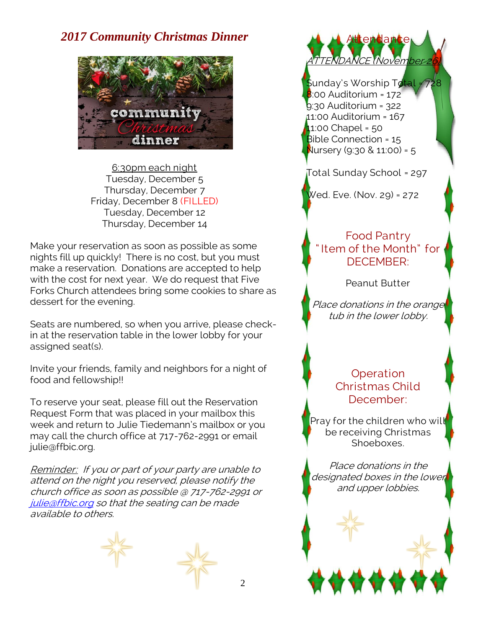## *2017 Community Christmas Dinner*



6:30pm each night Tuesday, December 5 Thursday, December 7 Friday, December 8 (FILLED) Tuesday, December 12 Thursday, December 14

Make your reservation as soon as possible as some nights fill up quickly! There is no cost, but you must make a reservation. Donations are accepted to help with the cost for next year. We do request that Five Forks Church attendees bring some cookies to share as dessert for the evening.

Seats are numbered, so when you arrive, please checkin at the reservation table in the lower lobby for your assigned seat(s).

Invite your friends, family and neighbors for a night of food and fellowship!!

To reserve your seat, please fill out the Reservation Request Form that was placed in your mailbox this week and return to Julie Tiedemann's mailbox or you may call the church office at 717-762-2991 or email julie@ffbic.org.

Reminder: If you or part of your party are unable to attend on the night you reserved, please notify the church office as soon as possible @ 717-762-2991 or [julie@ffbic.org](mailto:julie@ffbic.org) so that the seating can be made available to others.



ttendance ATTENDANCE (November 26)

Sunday's Worship Total = 728 8:00 Auditorium = 172 9:30 Auditorium = 322 11:00 Auditorium = 167 11:00 Chapel = 50 Bible Connection = 15 Nursery (9:30 & 11:00) =  $5$ 

Total Sunday School = 297

Wed. Eve. (Nov. 29) = 272

## Food Pantry " Item of the Month" for DECEMBER:

Peanut Butter

Place donations in the orange tub in the lower lobby.

## **Operation** Christmas Child December:

Pray for the children who will be receiving Christmas Shoeboxes.

Place donations in the designated boxes in the lower and upper lobbies.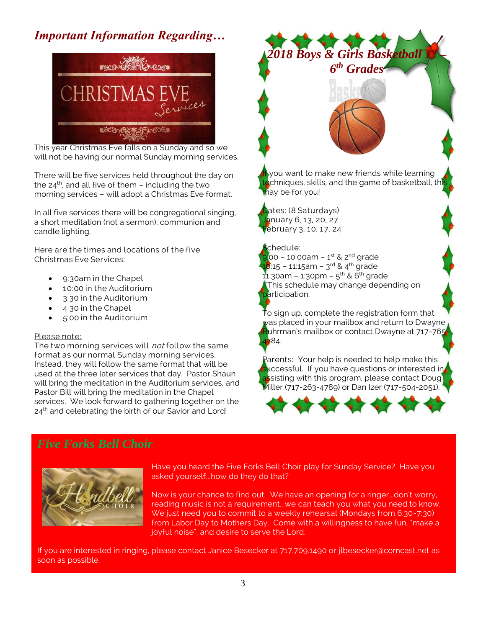# *Important Information Regarding…*



This year Christmas Eve falls on a Sunday and so we will not be having our normal Sunday morning services.

There will be five services held throughout the day on the  $24<sup>th</sup>$ , and all five of them – including the two morning services – will adopt a Christmas Eve format.

In all five services there will be congregational singing, a short meditation (not a sermon), communion and candle lighting.

Here are the times and locations of the five Christmas Eve Services:

- 9:30am in the Chapel
- 10:00 in the Auditorium
- 3:30 in the Auditorium
- 4:30 in the Chapel
- 5:00 in the Auditorium

## Please note:

The two morning services will *not* follow the same format as our normal Sunday morning services. Instead, they will follow the same format that will be used at the three later services that day. Pastor Shaun will bring the meditation in the Auditorium services, and Pastor Bill will bring the meditation in the Chapel services. We look forward to gathering together on the 24<sup>th</sup> and celebrating the birth of our Savior and Lord!

# *2018 Boys & Girls Basketball 1st – 6 th Grades* If you want to make new friends while learning echniques, skills, and the game of basketball, thi<mark>s</mark> hay be for you! Dates: (8 Saturdays) January 6, 13, 20, 27  $\overline{f}$ ebruary 3, 10, 17, 24 schedule: 9:00 - 10:00am - 1<sup>st</sup> & 2<sup>nd</sup> grade 10:15 – 11:15am – 3<sup>rd</sup> & 4<sup>th</sup> grade 11:30am – 1:30pm – 5<sup>th</sup> & 6<sup>th</sup> grade This schedule may change depending on articipation. To sign up, complete the registration form that was placed in your mailbox and return to Dwayne uhrman's mailbox or contact Dwayne at 717-765-

4784. Parents: Your help is needed to help make this **luccessful.** If you have questions or interested in assisting with this program, please contact Doug





*Five Forks Bell Choir*

Have you heard the Five Forks Bell Choir play for Sunday Service? Have you asked yourself...how do they do that?

Now is your chance to find out. We have an opening for a ringer...don't worry, reading music is not a requirement...we can teach you what you need to know. We just need you to commit to a weekly rehearsal (Mondays from 6:30-7:30) from Labor Day to Mothers Day. Come with a willingness to have fun, "make a joyful noise", and desire to serve the Lord.

If you are interested in ringing, please contact Janice Besecker at 717.709.1490 or [jlbesecker@comcast.net](mailto:jlbesecker@comcast.net) as soon as possible.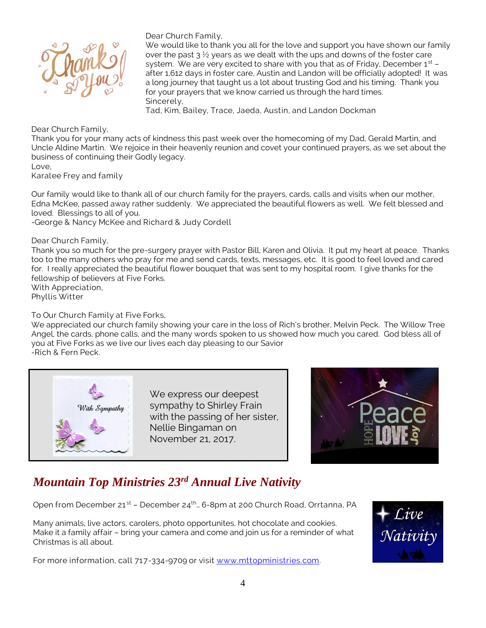

Dear Church Family,

We would like to thank you all for the love and support you have shown our family over the past  $3\frac{1}{2}$  years as we dealt with the ups and downs of the foster care system. We are very excited to share with you that as of Friday, December  $1<sup>st</sup>$  – after 1,612 days in foster care, Austin and Landon will be officially adopted! It was a long journey that taught us a lot about trusting God and his timing. Thank you for your prayers that we know carried us through the hard times. Sincerely,

Tad, Kim, Bailey, Trace, Jaeda, Austin, and Landon Dockman

Dear Church Family,

Thank you for your many acts of kindness this past week over the homecoming of my Dad, Gerald Martin, and Uncle Aldine Martin. We rejoice in their heavenly reunion and covet your continued prayers, as we set about the business of continuing their Godly legacy.

Love,

Karalee Frey and family

Our family would like to thank all of our church family for the prayers, cards, calls and visits when our mother, Edna McKee, passed away rather suddenly. We appreciated the beautiful flowers as well. We felt blessed and loved. Blessings to all of you.

-George & Nancy McKee and Richard & Judy Cordell

Dear Church Family,

Thank you so much for the pre-surgery prayer with Pastor Bill, Karen and Olivia. It put my heart at peace. Thanks too to the many others who pray for me and send cards, texts, messages, etc. It is good to feel loved and cared for. I really appreciated the beautiful flower bouquet that was sent to my hospital room. I give thanks for the fellowship of believers at Five Forks.

With Appreciation, Phyllis Witter

To Our Church Family at Five Forks,

We appreciated our church family showing your care in the loss of Rich's brother, Melvin Peck. The Willow Tree Angel, the cards, phone calls, and the many words spoken to us showed how much you cared. God bless all of you at Five Forks as we live our lives each day pleasing to our Savior -Rich & Fern Peck.



We express our deepest sympathy to Shirley Frain with the passing of her sister, Nellie Bingaman on November 21, 2017.



# *Mountain Top Ministries 23rd Annual Live Nativity*

Open from December 21<sup>st</sup> – December 24<sup>th</sup>... 6-8pm at 200 Church Road, Orrtanna, PA

Many animals, live actors, carolers, photo opportunites, hot chocolate and cookies. Make it a family affair – bring your camera and come and join us for a reminder of what Christmas is all about.

For more information, call 717-334-9709 or visit [www.mttopministries.com.](http://www.mttopministries.com/)

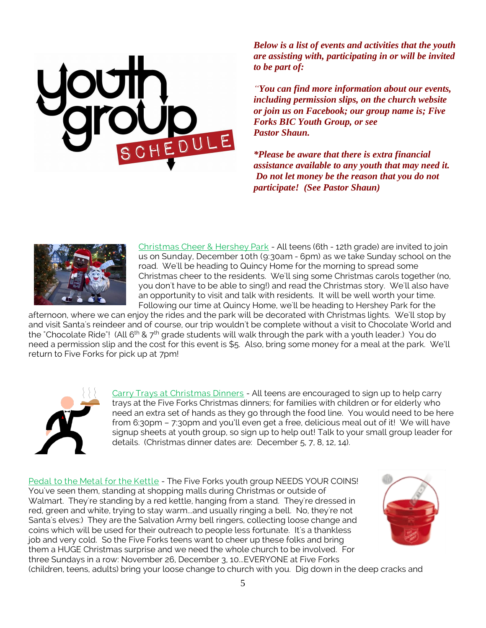*Below is a list of events and activities that the youth are assisting with, participating in or will be invited to be part of:*

*"You can find more information about our events, including permission slips, on the church website or join us on Facebook; our group name is; Five Forks BIC Youth Group, or see Pastor Shaun.*

*\*Please be aware that there is extra financial assistance available to any youth that may need it. Do not let money be the reason that you do not participate! (See Pastor Shaun)*



Christmas Cheer & Hershey Park - All teens (6th - 12th grade) are invited to join us on Sunday, December 10th (9:30am - 6pm) as we take Sunday school on the road. We'll be heading to Quincy Home for the morning to spread some Christmas cheer to the residents. We'll sing some Christmas carols together (no, you don't have to be able to sing!) and read the Christmas story. We'll also have an opportunity to visit and talk with residents. It will be well worth your time. Following our time at Quincy Home, we'll be heading to Hershey Park for the

afternoon, where we can enjoy the rides and the park will be decorated with Christmas lights. We'll stop by and visit Santa's reindeer and of course, our trip wouldn't be complete without a visit to Chocolate World and the "Chocolate Ride"! (All 6<sup>th</sup> & 7<sup>th</sup> grade students will walk through the park with a youth leader.) You do need a permission slip and the cost for this event is \$5. Also, bring some money for a meal at the park. We'll return to Five Forks for pick up at 7pm!



Carry Trays at Christmas Dinners - All teens are encouraged to sign up to help carry trays at the Five Forks Christmas dinners; for families with children or for elderly who need an extra set of hands as they go through the food line. You would need to be here from 6:30pm – 7:30pm and you'll even get a free, delicious meal out of it! We will have signup sheets at youth group, so sign up to help out! Talk to your small group leader for details. (Christmas dinner dates are: December 5, 7, 8, 12, 14).

Pedal to the Metal for the Kettle - The Five Forks youth group NEEDS YOUR COINS! You've seen them, standing at shopping malls during Christmas or outside of Walmart. They're standing by a red kettle, hanging from a stand. They're dressed in red, green and white, trying to stay warm...and usually ringing a bell. No, they're not Santa's elves:) They are the Salvation Army bell ringers, collecting loose change and coins which will be used for their outreach to people less fortunate. It's a thankless job and very cold. So the Five Forks teens want to cheer up these folks and bring them a HUGE Christmas surprise and we need the whole church to be involved. For three Sundays in a row: November 26, December 3, 10...EVERYONE at Five Forks (children, teens, adults) bring your loose change to church with you. Dig down in the deep cracks and